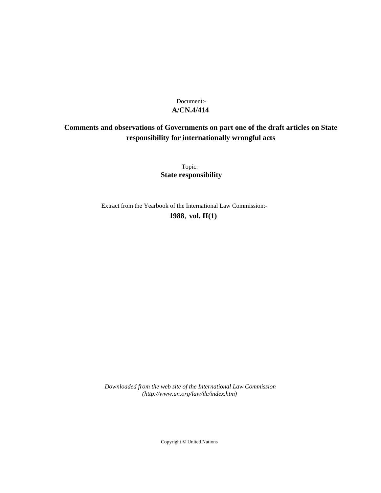# **A/CN.4/414** Document:-

# **Comments and observations of Governments on part one of the draft articles on State responsibility for internationally wrongful acts**

Topic: **State responsibility**

Extract from the Yearbook of the International Law Commission:-

**1988** , **vol. II(1)**

*Downloaded from the web site of the International Law Commission (http://www.un.org/law/ilc/index.htm)*

Copyright © United Nations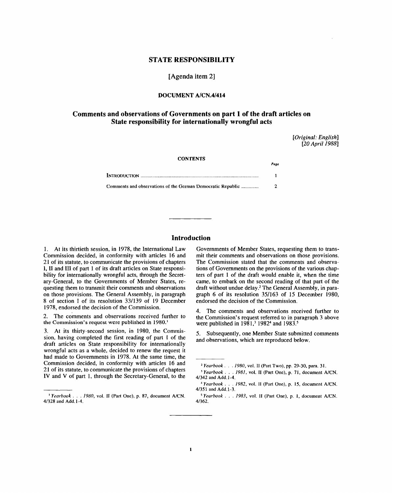## **STATE RESPONSIBILITY**

**[Agenda item 2]**

## **DOCUMENT A/CN.4/414**

## **Comments and observations of Governments on part 1 of the draft articles on State responsibility for internationally wrongful acts**

*[Original: English] [20 April 1988]*

#### **CONTENTS**

|                                                             | Pase |
|-------------------------------------------------------------|------|
|                                                             |      |
| Comments and observations of the German Democratic Republic | 2    |

## **Introduction**

1. At its thirtieth session, in 1978, the International Law Commission decided, in conformity with articles 16 and 21 of its statute, to communicate the provisions of chapters 1. II and III of part 1 of its draft articles on State responsibility for internationally wrongful acts, through the Secretary-General, to the Governments of Member States, requesting them to transmit their comments and observations on those provisions. The General Assembly, in paragraph 8 of section I of its resolution 33/139 of 19 December 1978, endorsed the decision of the Commission.

2. The comments and observations received further to the Commission's request were published in 1980.<sup>1</sup>

3. At its thirty-second session, in 1980, the Commission, having completed the first reading of part 1 of the draft articles on State responsibility for internationally wrongful acts as a whole, decided to renew the request it had made to Governments in 1978. At the same time, the Commission decided, in conformity with articles 16 and 21 of its statute, to communicate the provisions of chapters IV and V of part 1, through the Secretary-General, to the

Governments of Member States, requesting them to transmit their comments and observations on those provisions. The Commission stated that the comments and observations of Governments on the provisions of the various chapters of part 1 of the draft would enable it, when the time came, to embark on the second reading of that part of the draft without undue delay.<sup>2</sup> The General Assembly, in paragraph 6 of its resolution 35/163 of 15 December 1980, endorsed the decision of the Commission.

4. The comments and observations received further to the Commission's request referred to in paragraph 3 above were published in  $1981$ ,<sup>3</sup> 1982<sup>4</sup> and 1983.<sup>5</sup>

5. Subsequently, one Member State submitted comments and observations, which are reproduced below.

<sup>&</sup>lt;sup>1</sup> Yearbook . . . 1980, vol. II (Part One), p. 87, document A/CN. 4/328 and Add. 1-4.

<sup>2</sup>  *Yearbook . . . 1980,* vol. II (Part Two), pp. 29-30, para. 31.

<sup>&#</sup>x27; *Yearbook . . . 1981,* vol. II (Part One), p. 71, document A/CN. 4/342 and Add. 1-4.

<sup>4</sup>  *Yearbook . . . 1982,* vol. II (Part One), p. 15, document A/CN. 4/351 and Add. 1-3.

<sup>&</sup>lt;sup>5</sup> Yearbook . . . 1983, vol. II (Part One), p. 1, document A/CN. 4/362.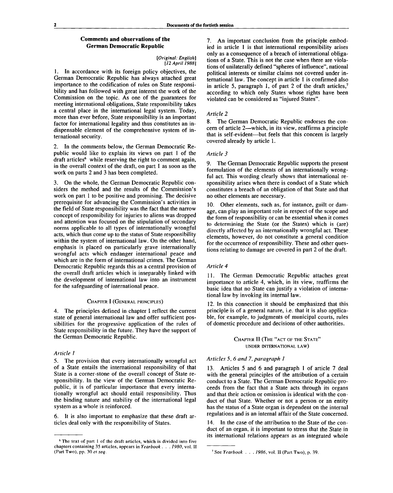## **Comments and observations of the German Democratic Republic**

#### *[Original: English] [12 April 1988]*

1. In accordance with its foreign policy objectives, the German Democratic Republic has always attached great importance to the codification of rules on State responsibility and has followed with great interest the work of the Commission on the topic. As one of the guarantees for meeting international obligations, State responsibility takes a central place in the international legal system. Today, more than ever before, State responsibility is an important factor for international legality and thus constitutes an indispensable element of the comprehensive system of international security.

In the comments below, the German Democratic Republic would like to explain its views on part 1 of the draft articles<sup>6</sup> while reserving the right to comment again, in the overall context of the draft, on part 1 as soon as the work on parts 2 and 3 has been completed.

3. On the whole, the German Democratic Republic considers the method and the results of the Commission's work on part 1 to be positive and promising. The decisive prerequisite for advancing the Commission's activities in the field of State responsibility was the fact that the narrow concept of responsibility for injuries to aliens was dropped and attention was focused on the stipulation of secondary norms applicable to all types of internationally wrongful acts, which thus come up to the status of State responsibility within the system of international law. On the other hand, emphasis is placed on particularly grave internationally wrongful acts which endanger international peace and which are in the form of international crimes. The German Democratic Republic regards this as a central provision of the overall draft articles which is inseparably linked with the development of international law into an instrument for the safeguarding of international peace.

#### CHAPTER I (GENERAL PRINCIPLES)

4. The principles defined in chapter I reflect the current state of general international law and offer sufficient possibilities for the progressive application of the rules of State responsibility in the future. They have the support of the German Democratic Republic.

#### *Article 1*

5. The provision that every internationally wrongful act of a State entails the international responsibility of that State is a corner-stone of the overall concept of State responsibility. In the view of the German Democratic Republic, it is of particular importance that every internationally wrongful act should entail responsibility. Thus the binding nature and stability of the international legal system as a whole is reinforced.

6. It is also important to emphasize that these draft articles deal only with the responsibility of States.

7. An important conclusion from the principle embodied in article 1 is that international responsibility arises only as a consequence of a breach of international obligations of a State. This is not the case when there are violations of unilaterally defined "spheres of influence", national political interests or similar claims not covered under international law. The concept in article 1 is confirmed also in article 5, paragraph 1, of part 2 of the draft articles, $7$ according to which only States whose rights have been violated can be considered as "injured States".

#### *Article 2*

8. The German Democratic Republic endorses the concern of article 2—which, in its view, reaffirms a principle that is self-evident—but feels that this concern is largely covered already by article 1.

#### *Article 3*

9. The German Democratic Republic supports the present formulation of the elements of an internationally wrongful act. This wording clearly shows that international responsibility arises when there is conduct of a State which constitutes a breach of an obligation of that State and that no other elements are necessary.

10. Other elements, such as, for instance, guilt or damage, can play an important role in respect of the scope and the form of responsibility or can be essential when it comes to determining the State (or the States) which is (are) directly affected by an internationally wrongful act. These elements, however, do not constitute a general condition for the occurrence of responsibility. These and other questions relating to damage are covered in part 2 of the draft.

#### *Article 4*

11. The German Democratic Republic attaches great importance to article 4, which, in its view, reaffirms the basic idea that no State can justify a violation of international law by invoking its internal law.

12. In this connection it should be emphasized that this principle is of a general nature, i.e. that it is also applicable, for example, to judgments of municipal courts, rules of domestic procedure and decisions of other authorities.

> CHAPTER II (THE "ACT OF THE STATE" UNDER INTERNATIONAL LAW)

## *Articles 5, 6 and 7, paragraph 1*

Articles 5 and 6 and paragraph 1 of article 7 deal with the general principles of the attribution of a certain conduct to a State. The German Democratic Republic proceeds from the fact that a State acts through its organs and that their action or omission is identical with the conduct of that State. Whether or not a person or an entity has the status of a State organ is dependent on the internal regulations and is an internal affair of the State concerned.

14. In the case of the attribution to the State of the conduct of an organ, it is important to stress that the State in its international relations appears as an integrated whole

<sup>&</sup>lt;sup>6</sup> The text of part 1 of the draft articles, which is divided into five chapters containing 35 articles, appears in *Yearbook . . . 1980,* vol. II (Part Two), pp. 30 *et seq.*

See *Yearbook . . . 1986,* vol. II (Part Two), p. 39.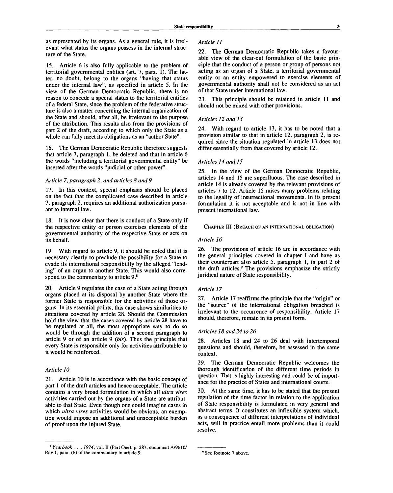as represented by its organs. As a general rule, it is irrelevant what status the organs possess in the internal structure of the State.

15. Article 6 is also fully applicable to the problem of territorial governmental entities (art. 7, para. 1). The latter, no doubt, belong to the organs "having that status under the internal law", as specified in article 5. In the view of the German Democratic Republic, there is no reason to concede a special status to the territorial entities of a federal State, since the problem of the federative structure is also a matter concerning the internal organization of the State and should, after all, be irrelevant to the purpose of the attribution. This results also from the provisions of part 2 of the draft, according to which only the State as a whole can fully meet its obligations as an "author State".

16. The German Democratic Republic therefore suggests that article 7, paragraph 1, be deleted and that in article 6 the words "including a territorial governmental entity" be inserted after the words "judicial or other power".

#### *Article 7, paragraph 2, and articles 8 and 9*

17. In this context, special emphasis should be placed on the fact that the complicated case described in article 7, paragraph 2, requires an additional authorization pursuant to internal law.

18. It is now clear that there is conduct of a State only if the respective entity or person exercises elements of the governmental authority of the respective State or acts on its behalf.

19. With regard to article 9, it should be noted that it is necessary clearly to preclude the possibility for a State to evade its international responsibility by the alleged "lending" of an organ to another State. This would also correspond to the commentary to article 9.<sup>8</sup>

20. Article 9 regulates the case of a State acting through organs placed at its disposal by another State where the former State is responsible for the activities of those organs. In its essential points, this case shows similarities to situations covered by article 28. Should the Commission hold the view that the cases covered by article 28 have to be regulated at all, the most appropriate way to do so would be through the addition of a second paragraph to article 9 or of an article 9 *{bis).* Thus the principle that every State is responsible only for activities attributable to it would be reinforced.

## *Article 10*

21. Article 10 is in accordance with the basic concept of part 1 of the draft articles and hence acceptable. The article contains a very broad formulation in which all *ultra vires* activities carried out by the organs of a State are attributable to that State. Even though one could imagine cases in which *ultra vires* activities would be obvious, an exemption would impose an additional and unacceptable burden of proof upon the injured State.

## *Article 11*

22. The German Democratic Republic takes a favourable view of the clear-cut formulation of the basic principle that the conduct of a person or group of persons not acting as an organ of a State, a territorial governmental entity or an entity empowered to exercise elements of governmental authority shall not be considered as an act of that State under international law.

23. This principle should be retained in article 11 and should not be mixed with other provisions.

#### *Articles 12 and 13*

24. With regard to article 13, it has to be noted that a provision similar to that in article 12, paragraph 2, is required since the situation regulated in article 13 does not differ essentially from that covered by article 12.

## *Articles 14 and 15*

25. In the view of the German Democratic Republic, articles 14 and 15 are superfluous. The case described in article 14 is already covered by the relevant provisions of articles 7 to 12. Article 15 raises many problems relating to the legality of insurrectional movements. In its present formulation it is not acceptable and is not in line with present international law.

## CHAPTER III (BREACH OF AN INTERNATIONAL OBLIGATION)

## *Article 16*

26. The provisions of article 16 are in accordance with the general principles covered in chapter I and have as their counterpart also article 5, paragraph 1, in part 2 of the draft articles.<sup>9</sup> The provisions emphasize the strictly juridical nature of State responsibility.

#### *Article 17*

27. Article 17 reaffirms the principle that the "origin" or the "source" of the international obligation breached is irrelevant to the occurrence of responsibility. Article 17 should, therefore, remain in its present form.

## *Articles 18 and 24 to 26*

28. Articles 18 and 24 to 26 deal with intertemporal questions and should, therefore, be assessed in the same context.

29. The German Democratic Republic welcomes the thorough identification of the different time periods in question. That is highly interesting and could be of importance for the practice of States and international courts.

30. At the same time, it has to be stated that the present regulation of the time factor in relation to the application of State responsibility is formulated in very general and abstract terms. It constitutes an inflexible system which, as a consequence of different interpretations of individual acts, will in practice entail more problems than it could resolve.

<sup>8</sup>  *Yearbook . . . 1974,* vol. II (Part One), p. 287, document A/9610/ Rev. 1, para. (6) of the commentary to article 9.

<sup>9</sup> See footnote 7 above.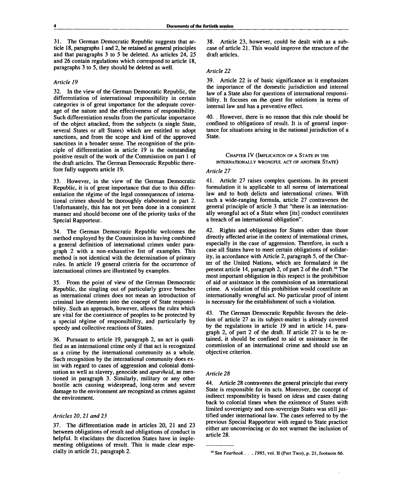31. The German Democratic Republic suggests that article 18, paragraphs 1 and 2, be retained as general principles and that paragraphs 3 to 5 be deleted. As articles 24, 25 and 26 contain regulations which correspond to article 18, paragraphs 3 to 5, they should be deleted as well.

## *Article 19*

32. In the view of the German Democratic Republic, the differentiation of international responsibility in certain categories is of great importance for the adequate coverage of the nature and the effectiveness of responsibility. Such differentiation results from the particular importance of the object attacked, from the subjects (a single State, several States or all States) which are entitled to adopt sanctions, and from the scope and kind of the approved sanctions in a broader sense. The recognition of the principle of differentiation in article 19 is the outstanding positive result of the work of the Commission on part 1 of the draft articles. The German Democratic Republic therefore fully supports article 19.

33. However, in the view of the German Democratic Republic, it is of great importance that due to this differentiation the régime of the legal consequences of international crimes should be thoroughly elaborated in part 2. Unfortunately, this has not yet been done in a consistent manner and should become one of the priority tasks of the Special Rapporteur.

34. The German Democratic Republic welcomes the method employed by the Commission in having combined a general definition of international crimes under paragraph 2 with a non-exhaustive list of examples. This method is not identical with the determination of primary rules. In article 19 general criteria for the occurrence of international crimes are illustrated by examples.

From the point of view of the German Democratic Republic, the singling out of particularly grave breaches as international crimes does not mean an introduction of criminal law elements into the concept of State responsibility. Such an approach, however, allows the rules which are vital for the coexistence of peoples to be protected by a special régime of responsibility, and particularly by speedy and collective reactions of States.

36. Pursuant to article 19, paragraph 2, an act is qualified as an international crime only if that act is recognized as a crime by the international community as a whole. Such recognition by the international community does exist with regard to cases of aggression and colonial domination as well as slavery, genocide and *apartheid,* as mentioned in paragraph 3. Similarly, military or any other hostile acts causing widespread, long-term and severe damage to the environment are recognized as crimes against the environment.

### *Articles 20, 21 and 23*

37. The differentiation made in articles 20, 21 and 23 between obligations of result and obligations of conduct is helpful. It elucidates the discretion States have in implementing obligations of result. This is made clear especially in article 21, paragraph 2.

38. Article 23, however, could be dealt with as a subcase of article 21. This would improve the structure of the draft articles.

## *Article 22*

39. Article 22 is of basic significance as it emphasizes the importance of the domestic jurisdiction and internal law of a State also for questions of international responsibility. It focuses on the quest for solutions in terms of internal law and has a preventive effect.

40. . However, there is no reason that this rule should be confined to obligations of result. It is of general importance for situations arising in the national jurisdiction of a State.

## CHAPTER IV (IMPLICATION OF A STATE IN THE **INTERNATIONALLY WRONGFUL ACT OF ANOTHER STATE)**

### *Article 27*

41. Article 27 raises complex questions. In its present formulation it is applicable to all norms of international law and to both delicts and international crimes. With such a wide-ranging formula, article 27 contravenes the general principle of article 3 that "there is an internationally wrongful act of a State when [its] conduct constitutes a breach of an international obligation".

42. Rights and obligations for States other than those directly affected arise in the context of international crimes, especially in the case of aggression. Therefore, in such a case all States have to meet certain obligations of solidarity, in accordance with Article 2, paragraph 5, of the Charter of the United Nations, which are formulated in the present article 14, paragraph 2, of part 2 of the draft.<sup>10</sup> The most important obligation in this respect is the prohibition of aid or assistance in the commission of an international crime. A violation of this prohibition would constitute an internationally wrongful act. No particular proof of intent is necessary for the establishment of such a violation.

43. The German Democratic Republic favours the deletion of article 27 as its subject-matter is already covered by the regulations in article 19 and in article 14, paragraph 2, of part 2 of the draft. If article 27 is to be retained, it should be confined to aid or assistance in the commission of an international crime and should use an objective criterion.

#### *Article 28*

44. Article 28 contravenes the general principle that every State is responsible for its acts. Moreover, the concept of indirect responsibility is based on ideas and cases dating back to colonial times when the existence of States with limited sovereignty and non-sovereign States was still justified under international law. The cases referred to by the previous Special Rapporteur with regard to State practice either are unconvincing or do not warrant the inclusion of article 28.

See Yearbook . . . 1985, vol. II (Part Two), p. 21, footnote 66.